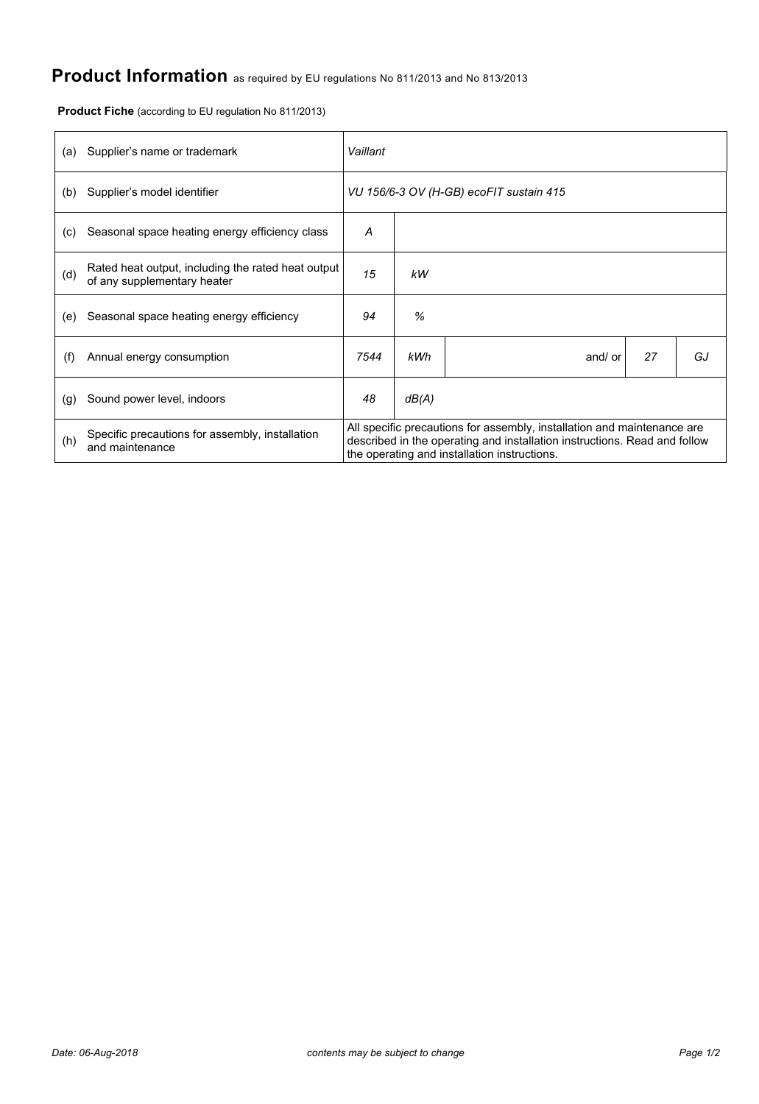## **Product Information** as required by EU regulations No 811/2013 and No 813/2013

**Product Fiche** (according to EU regulation No 811/2013)

| (a) | Supplier's name or trademark                                                      | Vaillant                                                                                                                                                                                             |       |         |    |    |  |  |
|-----|-----------------------------------------------------------------------------------|------------------------------------------------------------------------------------------------------------------------------------------------------------------------------------------------------|-------|---------|----|----|--|--|
| (b) | Supplier's model identifier                                                       | VU 156/6-3 OV (H-GB) ecoFIT sustain 415                                                                                                                                                              |       |         |    |    |  |  |
| (c) | Seasonal space heating energy efficiency class                                    | А                                                                                                                                                                                                    |       |         |    |    |  |  |
| (d) | Rated heat output, including the rated heat output<br>of any supplementary heater | 15                                                                                                                                                                                                   | kW    |         |    |    |  |  |
| (e) | Seasonal space heating energy efficiency                                          | 94                                                                                                                                                                                                   | %     |         |    |    |  |  |
| (f) | Annual energy consumption                                                         | 7544                                                                                                                                                                                                 | kWh   | and/ or | 27 | GJ |  |  |
| (g) | Sound power level, indoors                                                        | 48                                                                                                                                                                                                   | dB(A) |         |    |    |  |  |
| (h) | Specific precautions for assembly, installation<br>and maintenance                | All specific precautions for assembly, installation and maintenance are<br>described in the operating and installation instructions. Read and follow<br>the operating and installation instructions. |       |         |    |    |  |  |